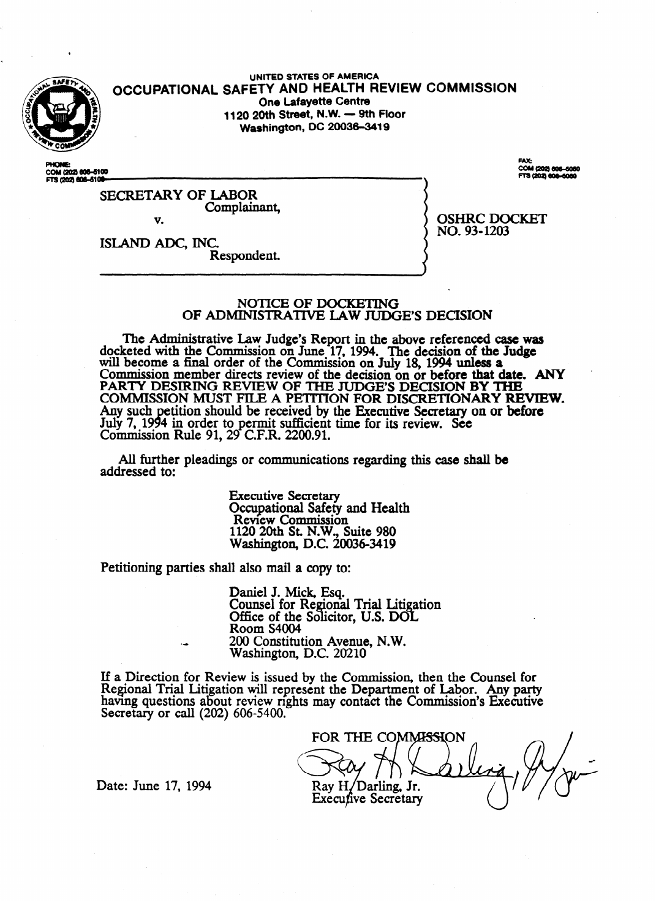

**UNITED STATES OF AMERICA <sup>a</sup>OCCUPATIONAL SAFETY AND HEALTH REVIEW COMMISSION One Lafayette Centre**<br>**1120 20th Street, N.W. — 9th Floor 2 1120 20th Street, N.W. - 9th Floor Washington, DC 20036-3419** 

COM (202) 606-6100<br>FTS (202) 606-6100-

**FAX:** COM (202) 606-606<br>FTS (202) 606-606

SECRETARY OF LABOR Complainant, v.

OSHRC DOCKET

NO. 93-1203

ISLAND ADC, INC. Respondent.

## NOTICE OF DOCKETING OF ADMINISTRATIVE LAW JUDGE'S DECISION

The Administrative Law Judge's Report in the above referenced case was docketed with the Commission on June 17, 1994. The decision of the Judge.<br>will become a final order of the Commission on July 18, 1994 unless a will become a final order of the Commission on July 16, 1994 unless a<br>Commission member directs review of the decision on or before that d Commission member directs review of the decision on or before **that** date. ANY COMMISSION MUST FILE A PETITION FOR DISCRETIONARY RE COMMISSION MOUT FILE A PERITION FOR DISCRETION **Rev REVIEW.** Any such petition should be received by the Executive Secretary on or before Any such petition should be received by the Executive Secretary on or before Luly 7, 1997 in creating of c.f.R. 2200.91.  $\frac{1}{2}$ 

All further pleadings or communications regarding this case shall be addressed to: addressed to:

> **Executive Secretary Occupational Safety and Health** Review Commission 120 20th St. N.W., S Washington, D.C. 20036-3419

Washington, D.C. 200364419

Petitioning parties shall also mail a copy to: Daniel J. Mick, Esq. Office of the Solicitor, U.S. DOL Room S4004 200 Constituti Washington, D.C. 20210

If a Direction for Review is issued by the Commission, then the Counsel for Regional Trial Litigation will represent the Department of Labor. Any party having questions about review rights may contact the Commission's Executive Secretary or call  $(202)$  606-5400.

FOR THE COMMISSION Ray H/Darling, Jr. **Execufive Secretary** 

Date: June 17, 1994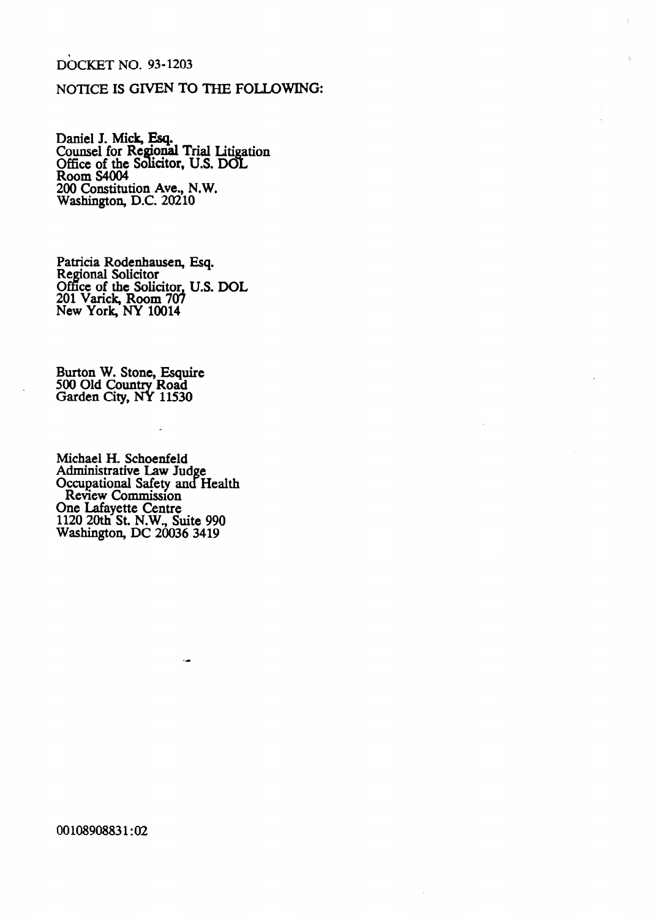## DOCKET NO. 93-1203

## NOTICE IS GIVEN TO THE FOLLOWING:

Daniel J. Mick, Esq. Counsel for Regional Trial Litigation Office of the Solicitor, U.S. DOI Room S4004 200 Constitution Ave., N.W. Washington, D.C. 20210

Patricia Rodenhausen, Regional Solicitor Office of the Solicitor, 201 Varick, Room 707 New York, NY 10014 Esq. U.S. DOL

Burton W. Stone, Esquire 500 Old Country Road Garden City, NY 11530

.

Michael H. Schoenfeld Administrative Law Jud Occupational Safety and e Health Review Commission One Lafayette Centre 1120 20th St. N.W., Suite 990 Washington, DC 20036 3419

00108908831:02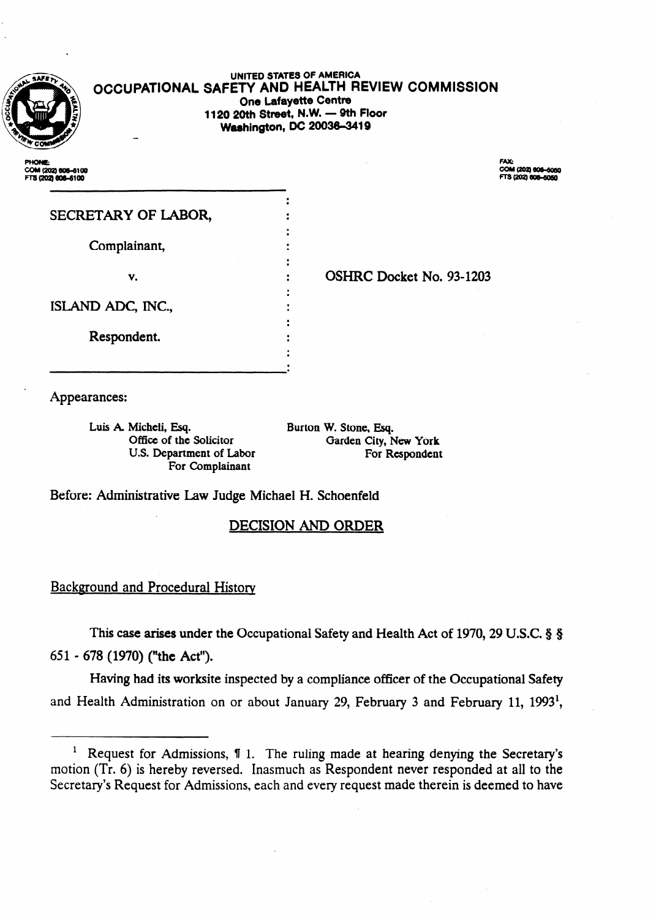

#### **UNITED STATES OF AMERICA OCCUPATIONAL SAFETY AND HEALTH REVIEW COMMISSION One Lafayette Centre 1120 20th Street, N.W. - 9th Floor Washington, Dc 20036-3419**

l .,  $\ddot{\cdot}$ . 0 . . . ×.

.

 $\ddot{\phantom{0}}$ .

.  $\ddot{\cdot}$ .

COM (202) 606-5100 FTS (202) 606-6100

COM (202) 806-5050 TS (202) 606-6050

SECRETARY OF LABOR,

Complainant,

v.  $\qquad \qquad$  :

**OSHRC Docket No. 93-1203** 

ISLAND ADC, INC.,

Respondent. .

Appearances:

.

Luis A. Micheli, Esq. Office of the Solicitor U.S. Department of Labor For Complainant

Burton W. Stone, Esq. Garden City, New **York**  For Respondent

Before: Administrative Law Judge Michael H. Schoenfeld

## **DECISION AND ORDER**

### Background and Procedural History

This case arises under the Occupational Safety and Health Act of 1970, 29 U.S.C. § § 651 - 678 (1970) ("the Act").

Having had its worksite inspected by a compliance officer of the Occupational Safety and Health Administration on or about January 29, February 3 and February 11, 1993<sup>1</sup>,

<sup>&</sup>lt;sup>1</sup> Request for Admissions,  $\P$  1. The ruling made at hearing denying the Secretary's motion (Tr. 6) is hereby reversed. Inasmuch as Respondent never responded at all to the Secretary's Request for Admissions, each and every request made therein is deemed to have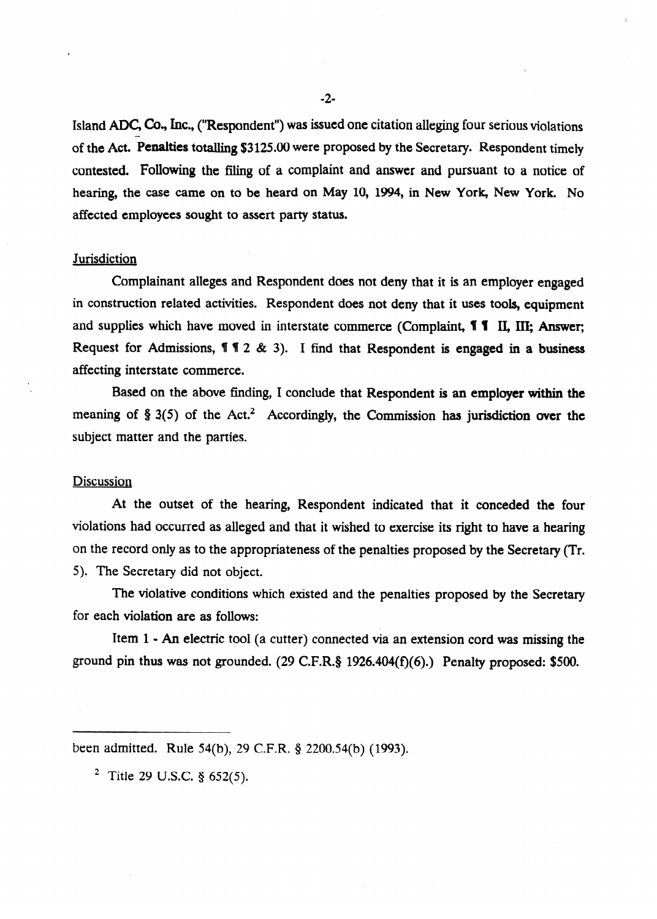Island ADC, Co., Inc., ("Respondent") was issued one citation alleging four serious violations of the Act. Penalties totalling \$3125.00 were proposed by the Secretary. Respondent timely contested. FolIowing the filing of a complaint and answer and pursuant to a notice of hearing, the case came on to be heard on May 10, 1994, in New York, New York. No affected employees sought to assert party status.

#### **Jurisdiction**

Complainant alleges and Respondent does not deny that it is an employer engaged in construction related activities. Respondent does not deny that it uses tools, equipment and supplies which have moved in interstate commerce (Complaint, **11** II, III; Answer; Request for Admissions,  $\P\P$   $\hat{Z}$  & 3). I find that Respondent is engaged in a business affecting interstate commerce.

Based on the above finding, I conclude that Respondent is an employer within the meaning of  $\S 3(5)$  of the Act.<sup>2</sup> Accordingly, the Commission has jurisdiction over the subject matter and the parties.

# <u>Discussions</u>

At the outset of the hearing, Respondent indicated that it conceded the four violations had occurred as alleged and that it wished to exercise its right to have a hearing  $\sum_{i=1}^{\infty}$  only as to the approximately the approximately  $\sum_{i=1}^{\infty}$ 5). The Secretary did not object.<br>The violative conditions which existed and the penalties proposed by the Secretary

The violative conditions which existed and the penalties proposed by the Secretary

Item  $1 - An$  electric tool (a cutter) connected via an extension cord was missing the ground pin thus was not grounded.  $(29 \text{ C.F.R. § } 1926.404(f)(6)$ .) Penalty proposed: \$500.

grounded. (29 C.F.R.5 1926.404) pin thus was not grounded. (29 C.F.R.5 1926.404) proposed: \$500.0 penalty prop

been admitted. Rule 54(b), 29 C.F.R. § 2200.54(b) (1993).

<sup>2</sup> Title 29 U.S.C. § 652(5).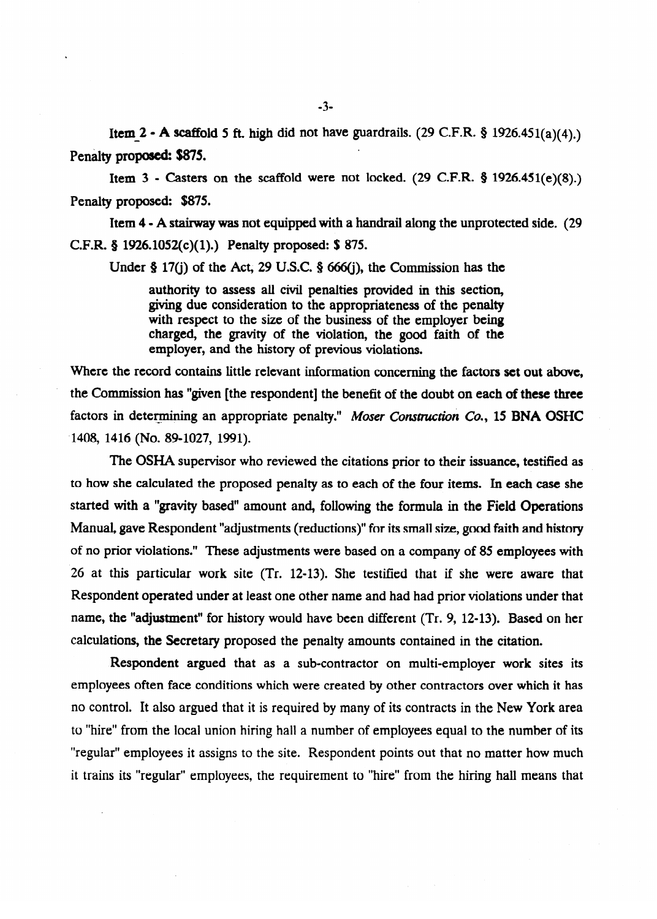Item  $2 - A$  scaffold 5 ft. high did not have guardrails. (29 C.F.R. § 1926.451(a)(4).) Penalty proposed: \$875.

Item  $3$  - Casters on the scaffold were not locked. (29 C.F.R.  $\frac{9}{2}$  1926.451(e)(8).) Penalty proposed: \$875.

Item 4 - A stairway was not equipped with a handrail along the unprotected side. (29 C.F.R. 5 1926.1052(c)(l).) Penalty proposed: \$ 875.

Under § 17(j) of the Act, 29 U.S.C. § 666(j), the Commission has the

authority to assess all civil penalties provided in this section, with respect to the size of the business of the employer being charged, the gravity of the violation, the good faith of the charged, the gravity of the violation, the good faith of the employer, and the history of previous violations.

Where the record contains little relevant information concerning the factors set out above, the Commission has "given [the respondent] the benefit of the doubt on each of these three factors in determining an appropriate penalty." Moser Construction Co., 15 BNA OSHC ..<br>...  $1400, 1410, 1400, 1020, 1991,$ 

The OSHA supervisor who reviewed the citations prior to their issuance, testified as to how she calculated the proposed penalty as to each of the four items. In each case she<br>started with a "gravity based" amount and, following the formula in the Field Operations Manual, gave Respondent "adjustments (reductions)" for its small size, good faith and history of no prior violations." These adjustments were based on a company of 85 employees with 26 at this particular work site (Tr. 12-13). She testified that if she were aware that Respondent operated under at least one other name and had had prior violations under that name, the "adjustment" for history would have been different (Tr. 9, 12-13). Based on her calculations, the Secretary proposed the penalty amounts contained in the citation.

Respondent argued that as a sub-contractor on multi-employer work sites its employees often face conditions which were created by other contractors over which it has no control. It also argued that it is required by many of its contracts in the New York area to "hire" from the local union hiring hall a number of employees equal to the number of its "regular" employees it assigns to the site. Respondent points out that no matter how much it trains its "regular" employees, the requirement to "hire" from the hiring hall means that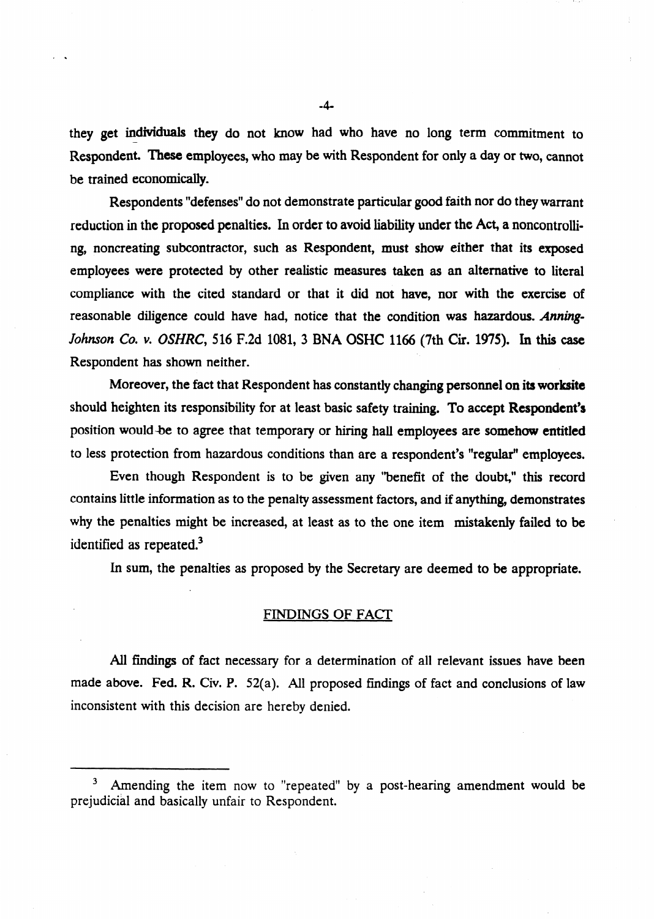**they get** individuals they do not know had who have no long term commitment to Respondent. These employees, who may be with Respondent for only a day or two, cannot be trained economically.

Respondents "defenses" do not demonstrate particular good faith nor do they warrant reduction in the proposed penalties. In order to avoid liability under the Act, a noncontrolling, noncreating subcontractor, such as Respondent, must show either that its exposed employees were protected by other realistic measures taken as an alternative to literal compliance with the cited standard or that it did not have, nor with the exercise of reasonable diligence could have had, notice that the condition was hazardous. *Atming-Johnson Co. v. OSHRC,* 516 F.2d 1081, 3 BNA OSHC 1166 (7th Cir. 1975). In this case Respondent has shown neither.

Moreover, the fact that Respondent has constantly changing personnel on its worksite should heighten its responsibility for at least basic safety training. To accept Respondent's position would-be to agree that temporary or hiring hall employees are somehow entitled to less protection from hazardous conditions than are a respondent's "regular" employees.

Even though Respondent is to be given any "benefit of the doubt," this record contains little information as to the penalty assessment factors, and if anything, demonstrates why the penalties might be increased, at least as to the one item mistakenly failed to be identified as repeated.<sup>3</sup>

In sum, the penalties as proposed by the Secretary are deemed to be appropriate.

#### FINDINGS OF FACT

AU findings of fact necessary for a determination of all relevant issues have been made above. Fed. R. Civ. P. 52(a). All proposed findings of fact and conclusions of law inconsistent with this decision are hereby denied.

. .

Amending the item now to "repeated" by a post-hearing amendment would be prejudicial and basically unfair to Respondent.